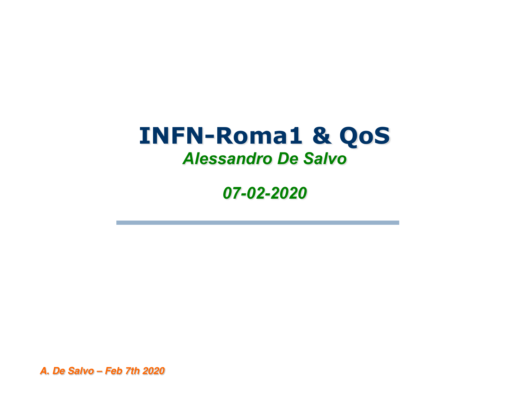## **INFN-Roma1 & QoS**

#### *Alessandro De Salvo*

#### *07-02-2020*

*A. De Salvo – Feb 7th 2020*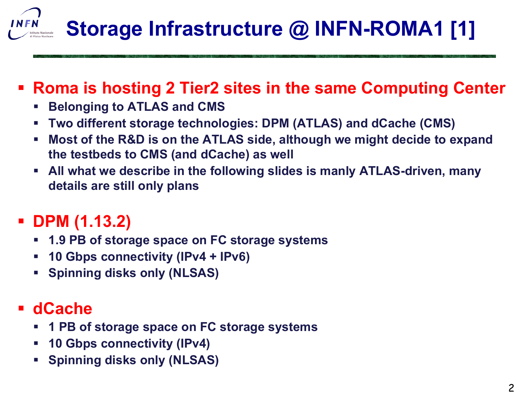# **Storage Infrastructure @ INFN-ROMA1 [1]**

- Roma is hosting 2 Tier2 sites in the same Computing Center
	- § **Belonging to ATLAS and CMS**
	- § **Two different storage technologies: DPM (ATLAS) and dCache (CMS)**
	- § **Most of the R&D is on the ATLAS side, although we might decide to expand the testbeds to CMS (and dCache) as well**
	- All what we describe in the following slides is manly ATLAS-driven, many **details are still only plans**
- § **DPM (1.13.2)**
	- § **1.9 PB of storage space on FC storage systems**
	- § **10 Gbps connectivity (IPv4 + IPv6)**
	- § **Spinning disks only (NLSAS)**

#### § **dCache**

- § **1 PB of storage space on FC storage systems**
- § **10 Gbps connectivity (IPv4)**
- § **Spinning disks only (NLSAS)**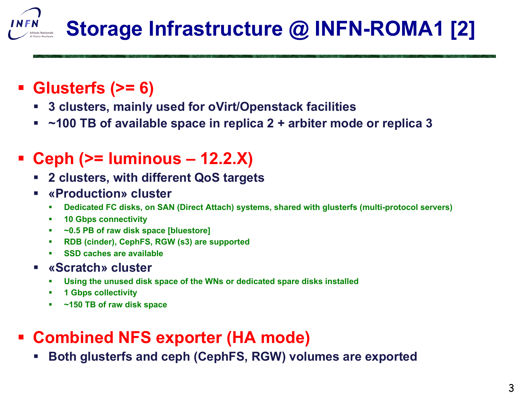## **Storage Infrastructure @ INFN-ROMA1 [2]**

- § **Glusterfs (>= 6)**
	- § **3 clusters, mainly used for oVirt/Openstack facilities**
	- ~100 TB of available space in replica 2 + arbiter mode or replica 3

### § **Ceph (>= luminous – 12.2.X)**

- § **2 clusters, with different QoS targets**
- § **«Production» cluster**
	- § **Dedicated FC disks, on SAN (Direct Attach) systems, shared with glusterfs (multi-protocol servers)**
	- § **10 Gbps connectivity**
	- § **~0.5 PB of raw disk space [bluestore]**
	- § **RDB (cinder), CephFS, RGW (s3) are supported**
	- § **SSD caches are available**

#### § **«Scratch» cluster**

- § **Using the unused disk space of the WNs or dedicated spare disks installed**
- § **1 Gbps collectivity**
- § **~150 TB of raw disk space**

### § **Combined NFS exporter (HA mode)**

§ **Both glusterfs and ceph (CephFS, RGW) volumes are exported**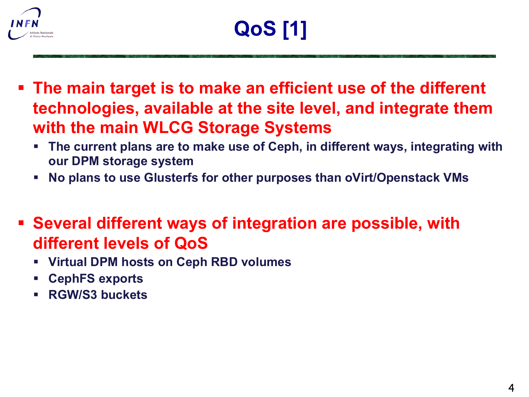

- § **The main target is to make an efficient use of the different technologies, available at the site level, and integrate them with the main WLCG Storage Systems**
	- **The current plans are to make use of Ceph, in different ways, integrating with our DPM storage system**
	- § **No plans to use Glusterfs for other purposes than oVirt/Openstack VMs**
- Several different ways of integration are possible, with **different levels of QoS**
	- § **Virtual DPM hosts on Ceph RBD volumes**
	- § **CephFS exports**
	- § **RGW/S3 buckets**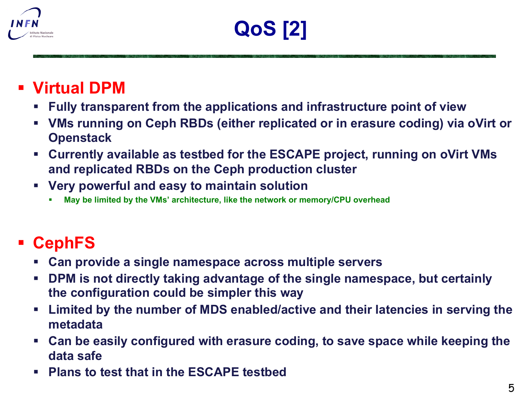

#### § **Virtual DPM**

- § **Fully transparent from the applications and infrastructure point of view**
- § **VMs running on Ceph RBDs (either replicated or in erasure coding) via oVirt or Openstack**
- § **Currently available as testbed for the ESCAPE project, running on oVirt VMs and replicated RBDs on the Ceph production cluster**
- § **Very powerful and easy to maintain solution**
	- § **May be limited by the VMs' architecture, like the network or memory/CPU overhead**

### § **CephFS**

- § **Can provide a single namespace across multiple servers**
- DPM is not directly taking advantage of the single namespace, but certainly **the configuration could be simpler this way**
- § **Limited by the number of MDS enabled/active and their latencies in serving the metadata**
- Can be easily configured with erasure coding, to save space while keeping the **data safe**
- § **Plans to test that in the ESCAPE testbed**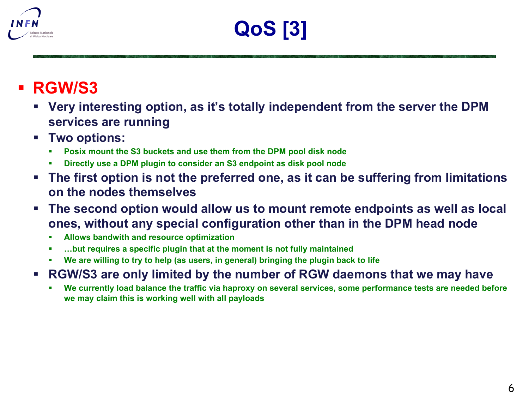

## **QoS [3]**

#### § **RGW/S3**

- § **Very interesting option, as it's totally independent from the server the DPM services are running**
- § **Two options:**
	- § **Posix mount the S3 buckets and use them from the DPM pool disk node**
	- § **Directly use a DPM plugin to consider an S3 endpoint as disk pool node**
- § **The first option is not the preferred one, as it can be suffering from limitations on the nodes themselves**
- § **The second option would allow us to mount remote endpoints as well as local ones, without any special configuration other than in the DPM head node**
	- § **Allows bandwith and resource optimization**
	- § **…but requires a specific plugin that at the moment is not fully maintained**
	- § **We are willing to try to help (as users, in general) bringing the plugin back to life**
- § **RGW/S3 are only limited by the number of RGW daemons that we may have**
	- § **We currently load balance the traffic via haproxy on several services, some performance tests are needed before we may claim this is working well with all payloads**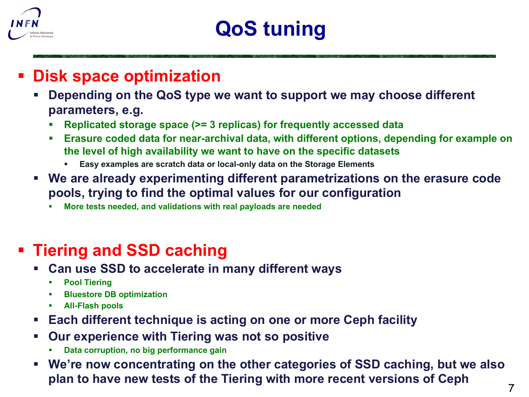

## **QoS tuning**

#### § **Disk space optimization**

- § **Depending on the QoS type we want to support we may choose different parameters, e.g.**
	- § **Replicated storage space (>= 3 replicas) for frequently accessed data**
	- § **Erasure coded data for near-archival data, with different options, depending for example on the level of high availability we want to have on the specific datasets**
		- § **Easy examples are scratch data or local-only data on the Storage Elements**
- § **We are already experimenting different parametrizations on the erasure code pools, trying to find the optimal values for our configuration**
	- § **More tests needed, and validations with real payloads are needed**

#### § **Tiering and SSD caching**

- § **Can use SSD to accelerate in many different ways**
	- § **Pool Tiering**
	- § **Bluestore DB optimization**
	- § **All-Flash pools**
- § **Each different technique is acting on one or more Ceph facility**
- § **Our experience with Tiering was not so positive**
	- § **Data corruption, no big performance gain**
- § **We're now concentrating on the other categories of SSD caching, but we also plan to have new tests of the Tiering with more recent versions of Ceph** 7